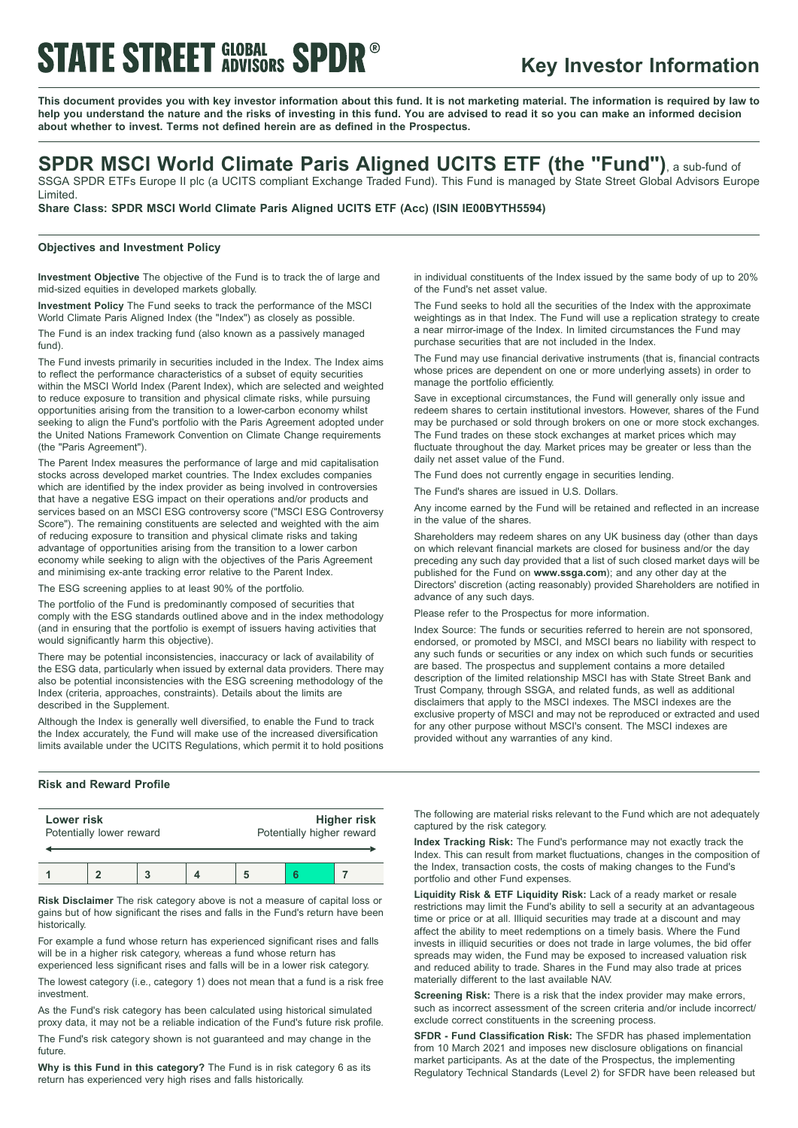## **STATE STREET GLOBAL SPDR®**

### **Key Investor Information**

This document provides you with key investor information about this fund. It is not marketing material. The information is required by law to help you understand the nature and the risks of investing in this fund. You are advised to read it so you can make an informed decision **about whether to invest. Terms not defined herein are as defined in the Prospectus.**

### **SPDR MSCI World Climate Paris Aligned UCITS ETF (the "Fund")**, <sup>a</sup> sub-fund of

SSGA SPDR ETFs Europe II plc (a UCITS compliant Exchange Traded Fund). This Fund is managed by State Street Global Advisors Europe Limited.

**Share Class: SPDR MSCI World Climate Paris Aligned UCITS ETF (Acc) (ISIN IE00BYTH5594)**

#### **Objectives and Investment Policy**

**Investment Objective** The objective of the Fund is to track the of large and mid-sized equities in developed markets globally.

**Investment Policy** The Fund seeks to track the performance of the MSCI World Climate Paris Aligned Index (the "Index") as closely as possible.

The Fund is an index tracking fund (also known as a passively managed fund).

The Fund invests primarily in securities included in the Index. The Index aims to reflect the performance characteristics of a subset of equity securities within the MSCI World Index (Parent Index), which are selected and weighted to reduce exposure to transition and physical climate risks, while pursuing opportunities arising from the transition to a lower-carbon economy whilst seeking to align the Fund's portfolio with the Paris Agreement adopted under the United Nations Framework Convention on Climate Change requirements (the "Paris Agreement").

The Parent Index measures the performance of large and mid capitalisation stocks across developed market countries. The Index excludes companies which are identified by the index provider as being involved in controversies that have a negative ESG impact on their operations and/or products and services based on an MSCI ESG controversy score ("MSCI ESG Controversy Score"). The remaining constituents are selected and weighted with the aim of reducing exposure to transition and physical climate risks and taking advantage of opportunities arising from the transition to a lower carbon economy while seeking to align with the objectives of the Paris Agreement and minimising ex-ante tracking error relative to the Parent Index.

The ESG screening applies to at least 90% of the portfolio.

The portfolio of the Fund is predominantly composed of securities that comply with the ESG standards outlined above and in the index methodology (and in ensuring that the portfolio is exempt of issuers having activities that would significantly harm this objective).

There may be potential inconsistencies, inaccuracy or lack of availability of the ESG data, particularly when issued by external data providers. There may also be potential inconsistencies with the ESG screening methodology of the Index (criteria, approaches, constraints). Details about the limits are described in the Supplement.

Although the Index is generally well diversified, to enable the Fund to track the Index accurately, the Fund will make use of the increased diversification limits available under the UCITS Regulations, which permit it to hold positions in individual constituents of the Index issued by the same body of up to 20% of the Fund's net asset value.

The Fund seeks to hold all the securities of the Index with the approximate weightings as in that Index. The Fund will use a replication strategy to create a near mirror-image of the Index. In limited circumstances the Fund may purchase securities that are not included in the Index.

The Fund may use financial derivative instruments (that is, financial contracts whose prices are dependent on one or more underlying assets) in order to manage the portfolio efficiently.

Save in exceptional circumstances, the Fund will generally only issue and redeem shares to certain institutional investors. However, shares of the Fund may be purchased or sold through brokers on one or more stock exchanges. The Fund trades on these stock exchanges at market prices which may fluctuate throughout the day. Market prices may be greater or less than the daily net asset value of the Fund.

The Fund does not currently engage in securities lending.

The Fund's shares are issued in U.S. Dollars.

Any income earned by the Fund will be retained and reflected in an increase in the value of the shares.

Shareholders may redeem shares on any UK business day (other than days on which relevant financial markets are closed for business and/or the day preceding any such day provided that a list of such closed market days will be published for the Fund on **www.ssga.com**); and any other day at the Directors' discretion (acting reasonably) provided Shareholders are notified in advance of any such days.

Please refer to the Prospectus for more information.

Index Source: The funds or securities referred to herein are not sponsored, endorsed, or promoted by MSCI, and MSCI bears no liability with respect to any such funds or securities or any index on which such funds or securities are based. The prospectus and supplement contains a more detailed description of the limited relationship MSCI has with State Street Bank and Trust Company, through SSGA, and related funds, as well as additional disclaimers that apply to the MSCI indexes. The MSCI indexes are the exclusive property of MSCI and may not be reproduced or extracted and used for any other purpose without MSCI's consent. The MSCI indexes are provided without any warranties of any kind.

### **Risk and Reward Profile**

| Lower risk               |  |  |  | <b>Higher risk</b>        |  |  |
|--------------------------|--|--|--|---------------------------|--|--|
| Potentially lower reward |  |  |  | Potentially higher reward |  |  |
|                          |  |  |  |                           |  |  |

**Risk Disclaimer** The risk category above is not a measure of capital loss or gains but of how significant the rises and falls in the Fund's return have been historically.

For example a fund whose return has experienced significant rises and falls will be in a higher risk category, whereas a fund whose return has experienced less significant rises and falls will be in a lower risk category.

The lowest category (i.e., category 1) does not mean that a fund is a risk free investment.

As the Fund's risk category has been calculated using historical simulated proxy data, it may not be a reliable indication of the Fund's future risk profile. The Fund's risk category shown is not guaranteed and may change in the future.

**Why is this Fund in this category?** The Fund is in risk category 6 as its return has experienced very high rises and falls historically.

The following are material risks relevant to the Fund which are not adequately captured by the risk category.

**Index Tracking Risk:** The Fund's performance may not exactly track the Index. This can result from market fluctuations, changes in the composition of the Index, transaction costs, the costs of making changes to the Fund's portfolio and other Fund expenses.

**Liquidity Risk & ETF Liquidity Risk:** Lack of a ready market or resale restrictions may limit the Fund's ability to sell a security at an advantageous time or price or at all. Illiquid securities may trade at a discount and may affect the ability to meet redemptions on a timely basis. Where the Fund invests in illiquid securities or does not trade in large volumes, the bid offer spreads may widen, the Fund may be exposed to increased valuation risk and reduced ability to trade. Shares in the Fund may also trade at prices materially different to the last available NAV.

**Screening Risk:** There is a risk that the index provider may make errors, such as incorrect assessment of the screen criteria and/or include incorrect/ exclude correct constituents in the screening process.

**SFDR - Fund Classification Risk:** The SFDR has phased implementation from 10 March 2021 and imposes new disclosure obligations on financial market participants. As at the date of the Prospectus, the implementing Regulatory Technical Standards (Level 2) for SFDR have been released but